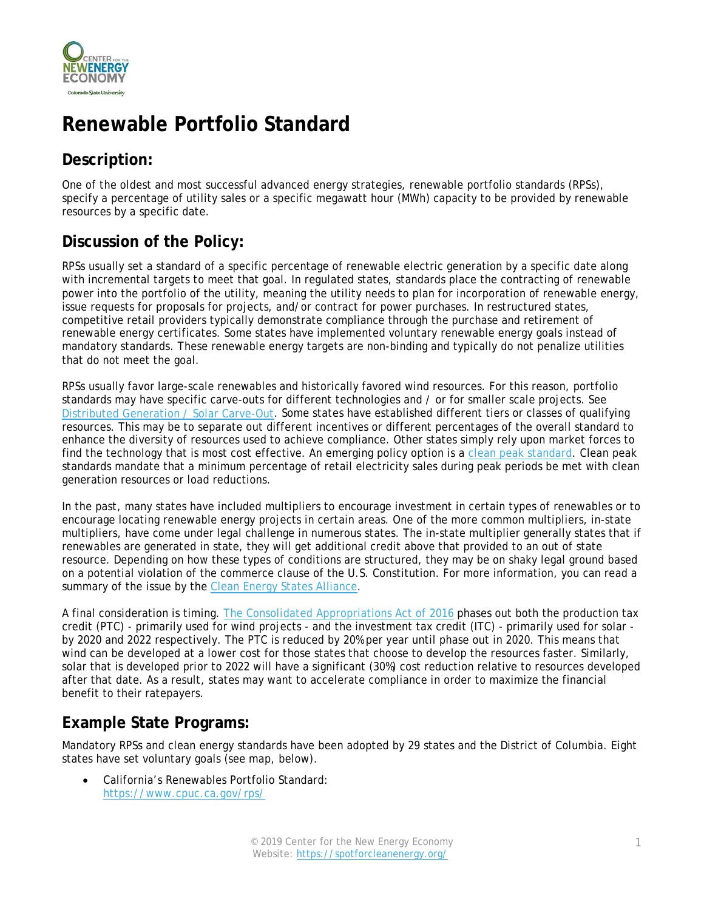

# **Renewable Portfolio Standard**

### **Description:**

One of the oldest and most successful advanced energy strategies, renewable portfolio standards (RPSs), specify a percentage of utility sales or a specific megawatt hour (MWh) capacity to be provided by renewable resources by a specific date.

### **Discussion of the Policy:**

RPSs usually set a standard of a specific percentage of renewable electric generation by a specific date along with incremental targets to meet that goal. In regulated states, standards place the contracting of renewable power into the portfolio of the utility, meaning the utility needs to plan for incorporation of renewable energy, issue requests for proposals for projects, and/or contract for power purchases. In restructured states, competitive retail providers typically demonstrate compliance through the purchase and retirement of renewable energy certificates. Some states have implemented voluntary renewable energy goals instead of mandatory standards. These renewable energy targets are non-binding and typically do not penalize utilities that do not meet the goal.

RPSs usually favor large-scale renewables and historically favored wind resources. For this reason, portfolio standards may have specific carve-outs for different technologies and / or for smaller scale projects. See [Distributed Generation / Solar Carve-Out.](https://spotforcleanenergy.org/policy/distributed-generation-/-solar-carve_out/) Some states have established different tiers or classes of qualifying resources. This may be to separate out different incentives or different percentages of the overall standard to enhance the diversity of resources used to achieve compliance. Other states simply rely upon market forces to find the technology that is most cost effective. An emerging policy option is a [clean peak standard.](https://www.mass.gov/service-details/clean-peak-energy-standard) Clean peak standards mandate that a minimum percentage of retail electricity sales during peak periods be met with clean generation resources or load reductions.

In the past, many states have included multipliers to encourage investment in certain types of renewables or to encourage locating renewable energy projects in certain areas. One of the more common multipliers, in-state multipliers, have come under legal challenge in numerous states. The in-state multiplier generally states that if renewables are generated in state, they will get additional credit above that provided to an out of state resource. Depending on how these types of conditions are structured, they may be on shaky legal ground based on a potential violation of the commerce clause of the U.S. Constitution. For more information, you can read a summary of the issue by the [Clean Energy States Alliance.](http://www.cesa.org/assets/Uploads/CEG-Commerce-Clause-paper-031111-Final.pdf)

A final consideration is timing. [The Consolidated Appropriations Act of 2016](https://www.congress.gov/bill/114th-congress/house-bill/2029/text) phases out both the production tax credit (PTC) - primarily used for wind projects - and the investment tax credit (ITC) - primarily used for solar by 2020 and 2022 respectively. The PTC is reduced by 20% per year until phase out in 2020. This means that wind can be developed at a lower cost for those states that choose to develop the resources faster. Similarly, solar that is developed prior to 2022 will have a significant (30%) cost reduction relative to resources developed after that date. As a result, states may want to accelerate compliance in order to maximize the financial benefit to their ratepayers.

#### **Example State Programs:**

Mandatory RPSs and clean energy standards have been adopted by 29 states and the District of Columbia. Eight states have set voluntary goals (see map, below).

• California's Renewables Portfolio Standard: <https://www.cpuc.ca.gov/rps/>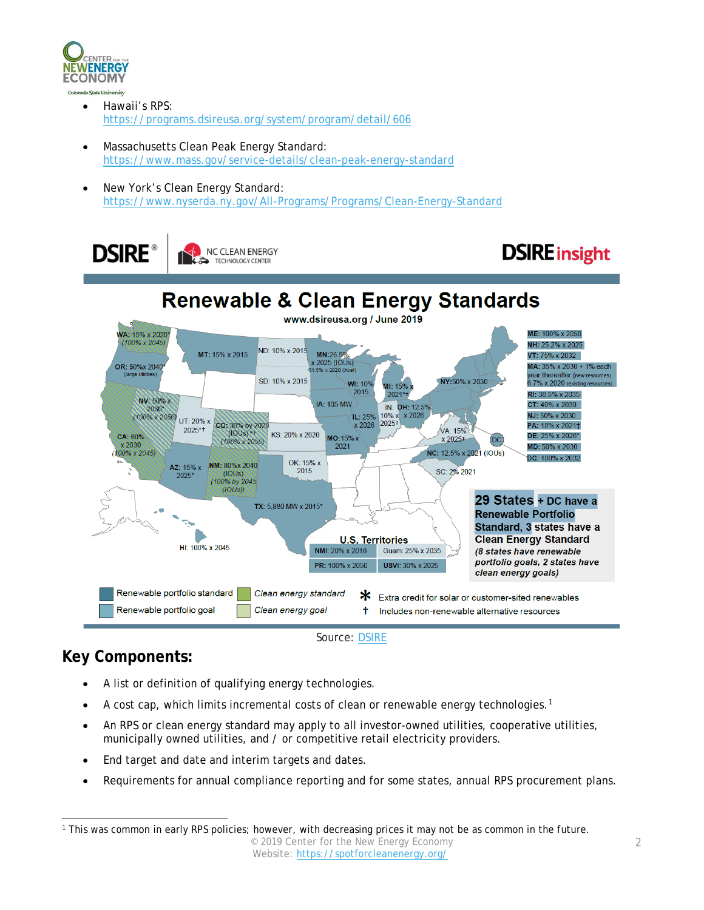

- Hawaii's RPS: <https://programs.dsireusa.org/system/program/detail/606>
- Massachusetts Clean Peak Energy Standard: <https://www.mass.gov/service-details/clean-peak-energy-standard>
- New York's Clean Energy Standard: <https://www.nyserda.ny.gov/All-Programs/Programs/Clean-Energy-Standard>

**DSIRE** 



# **DSIRE** insight



## **Key Components:**

- A list or definition of qualifying energy technologies.
- A cost cap, which limits incremental costs of clean or renewable energy technologies.[1](#page-1-0)
- An RPS or clean energy standard may apply to all investor-owned utilities, cooperative utilities, municipally owned utilities, and / or competitive retail electricity providers.
- End target and date and interim targets and dates.
- Requirements for annual compliance reporting and for some states, annual RPS procurement plans.

<span id="page-1-0"></span><sup>© 2019</sup> Center for the New Energy Economy Website:<https://spotforcleanenergy.org/> 1 This was common in early RPS policies; however, with decreasing prices it may not be as common in the future.